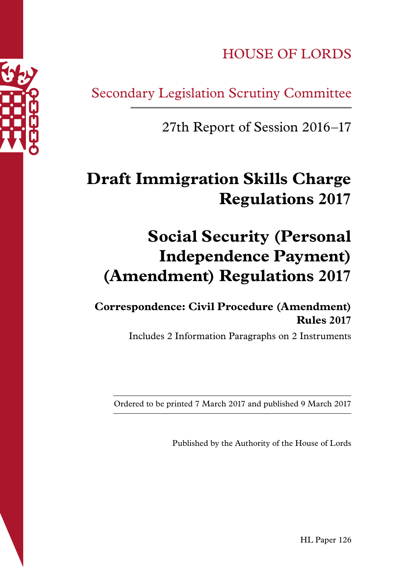HOUSE OF LORDS

Secondary Legislation Scrutiny Committee

27th Report of Session 2016–17

# **Draft Immigration Skills Charge Regulations 2017**

# **Social Security (Personal Independence Payment) (Amendment) Regulations 2017**

**Correspondence: Civil Procedure (Amendment) Rules 2017**

Includes 2 Information Paragraphs on 2 Instruments

Ordered to be printed 7 March 2017 and published 9 March 2017

Published by the Authority of the House of Lords

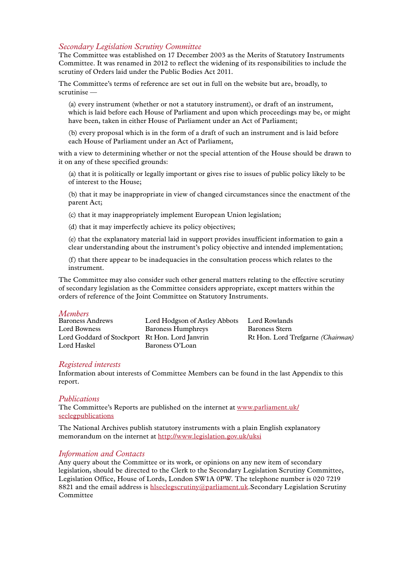#### *Secondary Legislation Scrutiny Committee*

The Committee was established on 17 December 2003 as the Merits of Statutory Instruments Committee. It was renamed in 2012 to reflect the widening of its responsibilities to include the scrutiny of Orders laid under the Public Bodies Act 2011.

The Committee's terms of reference are set out in full on the website but are, broadly, to scrutinise —

(a) every instrument (whether or not a statutory instrument), or draft of an instrument, which is laid before each House of Parliament and upon which proceedings may be, or might have been, taken in either House of Parliament under an Act of Parliament;

(b) every proposal which is in the form of a draft of such an instrument and is laid before each House of Parliament under an Act of Parliament,

with a view to determining whether or not the special attention of the House should be drawn to it on any of these specified grounds:

(a) that it is politically or legally important or gives rise to issues of public policy likely to be of interest to the House;

(b) that it may be inappropriate in view of changed circumstances since the enactment of the parent Act;

(c) that it may inappropriately implement European Union legislation;

(d) that it may imperfectly achieve its policy objectives;

(e) that the explanatory material laid in support provides insufficient information to gain a clear understanding about the instrument's policy objective and intended implementation;

(f) that there appear to be inadequacies in the consultation process which relates to the instrument.

The Committee may also consider such other general matters relating to the effective scrutiny of secondary legislation as the Committee considers appropriate, except matters within the orders of reference of the Joint Committee on Statutory Instruments.

#### *Members*

| <b>Baroness Andrews</b>                        | Lord Hodgson of Astley Abbots | Lord Rowlands                            |
|------------------------------------------------|-------------------------------|------------------------------------------|
| Lord Bowness                                   | Baroness Humphreys            | Baroness Stern                           |
| Lord Goddard of Stockport Rt Hon. Lord Janvrin |                               | Rt Hon. Lord Trefgarne <i>(Chairman)</i> |
| Lord Haskel                                    | Baroness O'Loan               |                                          |

#### *Registered interests*

Information about interests of Committee Members can be found in the last Appendix to this report.

#### *Publications*

The Committee's Reports are published on the internet at [www.parliament.uk/](www.parliament.uk/seclegpublications) [seclegpublications](www.parliament.uk/seclegpublications)

The National Archives publish statutory instruments with a plain English explanatory memorandum on the internet at<http://www.legislation.gov.uk/uksi>

#### *Information and Contacts*

Any query about the Committee or its work, or opinions on any new item of secondary legislation, should be directed to the Clerk to the Secondary Legislation Scrutiny Committee, Legislation Office, House of Lords, London SW1A 0PW. The telephone number is 020 7219 8821 and the email address is [hlseclegscrutiny@parliament.uk](mailto:hlseclegscrutiny%40parliament.uk?subject=).Secondary Legislation Scrutiny Committee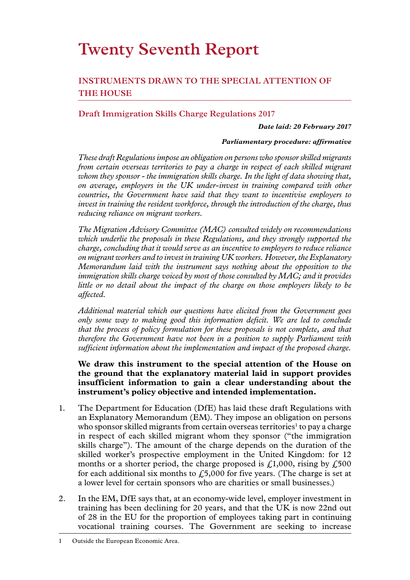# **Twenty Seventh Report**

## **INSTRUMENTS DRAWN TO THE SPECIAL ATTENTION OF THE HOUSE**

## **Draft Immigration Skills Charge Regulations 2017**

#### *Date laid: 20 February 2017*

#### *Parliamentary procedure: affirmative*

*These draft Regulations impose an obligation on persons who sponsor skilled migrants from certain overseas territories to pay a charge in respect of each skilled migrant whom they sponsor - the immigration skills charge. In the light of data showing that, on average, employers in the UK under-invest in training compared with other countries, the Government have said that they want to incentivise employers to invest in training the resident workforce, through the introduction of the charge, thus reducing reliance on migrant workers.*

*The Migration Advisory Committee (MAC) consulted widely on recommendations which underlie the proposals in these Regulations, and they strongly supported the charge, concluding that it would serve as an incentive to employers to reduce reliance on migrant workers and to invest in training UK workers. However, the Explanatory Memorandum laid with the instrument says nothing about the opposition to the immigration skills charge voiced by most of those consulted by MAC; and it provides little or no detail about the impact of the charge on those employers likely to be affected.*

*Additional material which our questions have elicited from the Government goes only some way to making good this information deficit. We are led to conclude that the process of policy formulation for these proposals is not complete, and that therefore the Government have not been in a position to supply Parliament with sufficient information about the implementation and impact of the proposed charge.*

**We draw this instrument to the special attention of the House on the ground that the explanatory material laid in support provides insufficient information to gain a clear understanding about the instrument's policy objective and intended implementation.**

- 1. The Department for Education (DfE) has laid these draft Regulations with an Explanatory Memorandum (EM). They impose an obligation on persons who sponsor skilled migrants from certain overseas territories<sup>1</sup> to pay a charge in respect of each skilled migrant whom they sponsor ("the immigration skills charge"). The amount of the charge depends on the duration of the skilled worker's prospective employment in the United Kingdom: for 12 months or a shorter period, the charge proposed is  $\mathcal{L}1,000$ , rising by  $\mathcal{L}500$ for each additional six months to  $\text{\textsterling}5,000$  for five years. (The charge is set at a lower level for certain sponsors who are charities or small businesses.)
- 2. In the EM, DfE says that, at an economy-wide level, employer investment in training has been declining for 20 years, and that the UK is now 22nd out of 28 in the EU for the proportion of employees taking part in continuing vocational training courses. The Government are seeking to increase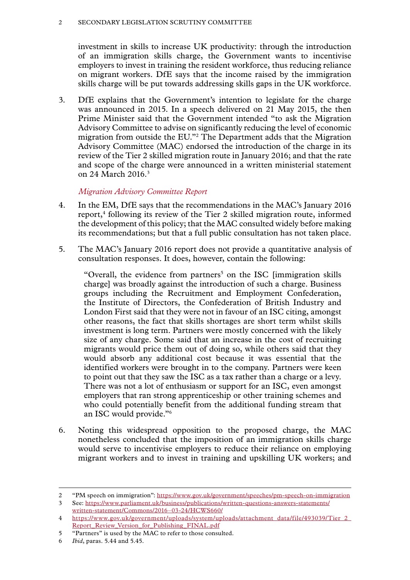#### 2 SECONDARY LEGISLATION SCRUTINY COMMITTEE

investment in skills to increase UK productivity: through the introduction of an immigration skills charge, the Government wants to incentivise employers to invest in training the resident workforce, thus reducing reliance on migrant workers. DfE says that the income raised by the immigration skills charge will be put towards addressing skills gaps in the UK workforce.

3. DfE explains that the Government's intention to legislate for the charge was announced in 2015. In a speech delivered on 21 May 2015, the then Prime Minister said that the Government intended "to ask the Migration Advisory Committee to advise on significantly reducing the level of economic migration from outside the EU."2 The Department adds that the Migration Advisory Committee (MAC) endorsed the introduction of the charge in its review of the Tier 2 skilled migration route in January 2016; and that the rate and scope of the charge were announced in a written ministerial statement on 24 March 2016.3

## *Migration Advisory Committee Report*

- 4. In the EM, DfE says that the recommendations in the MAC's January 2016 report,<sup>4</sup> following its review of the Tier 2 skilled migration route, informed the development of this policy; that the MAC consulted widely before making its recommendations; but that a full public consultation has not taken place.
- 5. The MAC's January 2016 report does not provide a quantitative analysis of consultation responses. It does, however, contain the following:

"Overall, the evidence from partners<sup>5</sup> on the ISC [immigration skills charge] was broadly against the introduction of such a charge. Business groups including the Recruitment and Employment Confederation, the Institute of Directors, the Confederation of British Industry and London First said that they were not in favour of an ISC citing, amongst other reasons, the fact that skills shortages are short term whilst skills investment is long term. Partners were mostly concerned with the likely size of any charge. Some said that an increase in the cost of recruiting migrants would price them out of doing so, while others said that they would absorb any additional cost because it was essential that the identified workers were brought in to the company. Partners were keen to point out that they saw the ISC as a tax rather than a charge or a levy. There was not a lot of enthusiasm or support for an ISC, even amongst employers that ran strong apprenticeship or other training schemes and who could potentially benefit from the additional funding stream that an ISC would provide."6

6. Noting this widespread opposition to the proposed charge, the MAC nonetheless concluded that the imposition of an immigration skills charge would serve to incentivise employers to reduce their reliance on employing migrant workers and to invest in training and upskilling UK workers; and

<sup>2</sup> "PM speech on immigration":<https://www.gov.uk/government/speeches/pm-speech-on-immigration>

<sup>3</sup> See: [https://www.parliament.uk/business/publications/written-questions-answers-statements/](https://www.parliament.uk/business/publications/written-questions-answers-statements/written-statement/Commons/2016-03-24/HCWS660/) [written-statement/Commons/2016–03-24/HCWS660/](https://www.parliament.uk/business/publications/written-questions-answers-statements/written-statement/Commons/2016-03-24/HCWS660/)

<sup>4</sup> [https://www.gov.uk/government/uploads/system/uploads/attachment\\_data/file/493039/Tier\\_2\\_](https://www.gov.uk/government/uploads/system/uploads/attachment_data/file/493039/Tier_2_Report_Review_Version_for_Publishing_FINAL.pdf) [Report\\_Review\\_Version\\_for\\_Publishing\\_FINAL.pdf](https://www.gov.uk/government/uploads/system/uploads/attachment_data/file/493039/Tier_2_Report_Review_Version_for_Publishing_FINAL.pdf)

<sup>5</sup> "Partners" is used by the MAC to refer to those consulted.

<sup>6</sup> *Ibid*, paras. 5.44 and 5.45.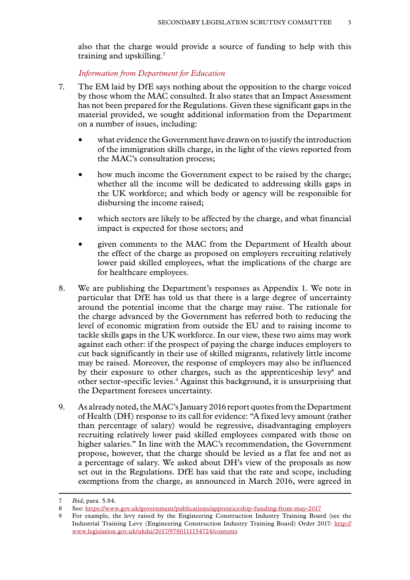also that the charge would provide a source of funding to help with this training and upskilling.7

*Information from Department for Education*

- 7. The EM laid by DfE says nothing about the opposition to the charge voiced by those whom the MAC consulted. It also states that an Impact Assessment has not been prepared for the Regulations. Given these significant gaps in the material provided, we sought additional information from the Department on a number of issues, including:
	- what evidence the Government have drawn on to justify the introduction of the immigration skills charge, in the light of the views reported from the MAC's consultation process;
	- how much income the Government expect to be raised by the charge; whether all the income will be dedicated to addressing skills gaps in the UK workforce; and which body or agency will be responsible for disbursing the income raised;
	- which sectors are likely to be affected by the charge, and what financial impact is expected for those sectors; and
	- given comments to the MAC from the Department of Health about the effect of the charge as proposed on employers recruiting relatively lower paid skilled employees, what the implications of the charge are for healthcare employees.
- 8. We are publishing the Department's responses as Appendix 1. We note in particular that DfE has told us that there is a large degree of uncertainty around the potential income that the charge may raise. The rationale for the charge advanced by the Government has referred both to reducing the level of economic migration from outside the EU and to raising income to tackle skills gaps in the UK workforce. In our view, these two aims may work against each other: if the prospect of paying the charge induces employers to cut back significantly in their use of skilled migrants, relatively little income may be raised. Moreover, the response of employers may also be influenced by their exposure to other charges, such as the apprenticeship levy<sup>8</sup> and other sector-specific levies.9 Against this background, it is unsurprising that the Department foresees uncertainty.
- 9. As already noted, the MAC's January 2016 report quotes from the Department of Health (DH) response to its call for evidence: "A fixed levy amount (rather than percentage of salary) would be regressive, disadvantaging employers recruiting relatively lower paid skilled employees compared with those on higher salaries." In line with the MAC's recommendation, the Government propose, however, that the charge should be levied as a flat fee and not as a percentage of salary. We asked about DH's view of the proposals as now set out in the Regulations. DfE has said that the rate and scope, including exemptions from the charge, as announced in March 2016, were agreed in

<sup>7</sup> *Ibid*, para. 5.84.

<sup>8</sup> See:<https://www.gov.uk/government/publications/apprenticeship-funding-from-may-2017>

<sup>9</sup> For example, the levy raised by the Engineering Construction Industry Training Board (see the Industrial Training Levy (Engineering Construction Industry Training Board) Order 2017: [http://](http://www.legislation.gov.uk/ukdsi/2017/9780111154724/contents) [www.legislation.gov.uk/ukdsi/2017/9780111154724/contents](http://www.legislation.gov.uk/ukdsi/2017/9780111154724/contents)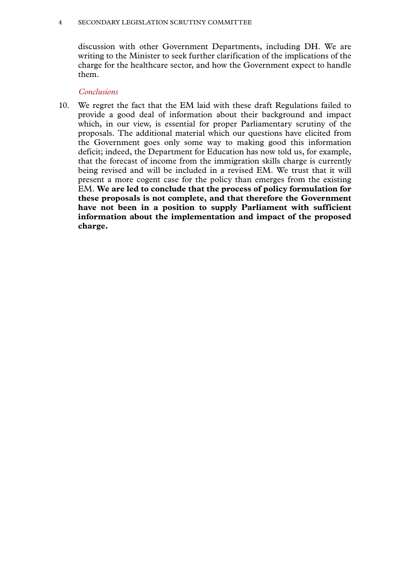#### 4 SECONDARY LEGISLATION SCRUTINY COMMITTEE

discussion with other Government Departments, including DH. We are writing to the Minister to seek further clarification of the implications of the charge for the healthcare sector, and how the Government expect to handle them.

## *Conclusions*

10. We regret the fact that the EM laid with these draft Regulations failed to provide a good deal of information about their background and impact which, in our view, is essential for proper Parliamentary scrutiny of the proposals. The additional material which our questions have elicited from the Government goes only some way to making good this information deficit; indeed, the Department for Education has now told us, for example, that the forecast of income from the immigration skills charge is currently being revised and will be included in a revised EM. We trust that it will present a more cogent case for the policy than emerges from the existing EM. **We are led to conclude that the process of policy formulation for these proposals is not complete, and that therefore the Government have not been in a position to supply Parliament with sufficient information about the implementation and impact of the proposed charge.**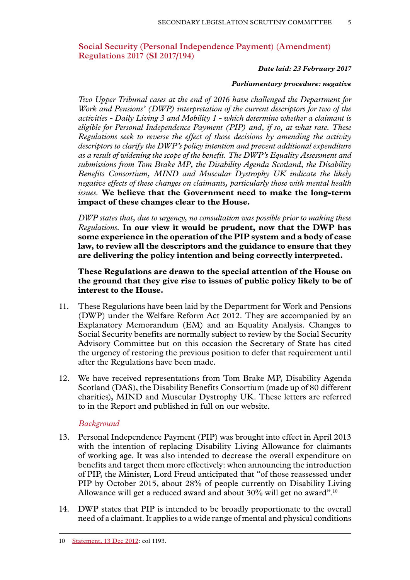## **Social Security (Personal Independence Payment) (Amendment) Regulations 2017 (SI 2017/194)**

#### *Date laid: 23 February 2017*

#### *Parliamentary procedure: negative*

*Two Upper Tribunal cases at the end of 2016 have challenged the Department for Work and Pensions' (DWP) interpretation of the current descriptors for two of the activities - Daily Living 3 and Mobility 1 - which determine whether a claimant is eligible for Personal Independence Payment (PIP) and, if so, at what rate. These Regulations seek to reverse the effect of those decisions by amending the activity descriptors to clarify the DWP's policy intention and prevent additional expenditure as a result of widening the scope of the benefit. The DWP's Equality Assessment and submissions from Tom Brake MP, the Disability Agenda Scotland, the Disability Benefits Consortium, MIND and Muscular Dystrophy UK indicate the likely negative effects of these changes on claimants, particularly those with mental health issues.* **We believe that the Government need to make the long-term impact of these changes clear to the House.**

*DWP states that, due to urgency, no consultation was possible prior to making these Regulations.* **In our view it would be prudent, now that the DWP has some experience in the operation of the PIP system and a body of case law, to review all the descriptors and the guidance to ensure that they are delivering the policy intention and being correctly interpreted.**

**These Regulations are drawn to the special attention of the House on the ground that they give rise to issues of public policy likely to be of interest to the House.**

- 11. These Regulations have been laid by the Department for Work and Pensions (DWP) under the Welfare Reform Act 2012. They are accompanied by an Explanatory Memorandum (EM) and an Equality Analysis. Changes to Social Security benefits are normally subject to review by the Social Security Advisory Committee but on this occasion the Secretary of State has cited the urgency of restoring the previous position to defer that requirement until after the Regulations have been made.
- 12. We have received representations from Tom Brake MP, Disability Agenda Scotland (DAS), the Disability Benefits Consortium (made up of 80 different charities), MIND and Muscular Dystrophy UK. These letters are referred to in the Report and published in full on our website.

### *Background*

- 13. Personal Independence Payment (PIP) was brought into effect in April 2013 with the intention of replacing Disability Living Allowance for claimants of working age. It was also intended to decrease the overall expenditure on benefits and target them more effectively: when announcing the introduction of PIP, the Minister, Lord Freud anticipated that "of those reassessed under PIP by October 2015, about 28% of people currently on Disability Living Allowance will get a reduced award and about 30% will get no award".<sup>10</sup>
- 14. DWP states that PIP is intended to be broadly proportionate to the overall need of a claimant. It applies to a wide range of mental and physical conditions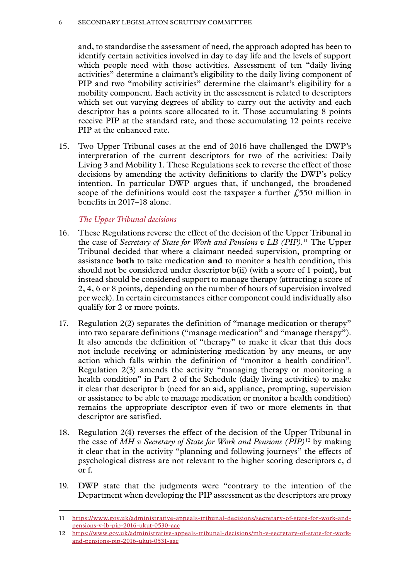and, to standardise the assessment of need, the approach adopted has been to identify certain activities involved in day to day life and the levels of support which people need with those activities. Assessment of ten "daily living activities" determine a claimant's eligibility to the daily living component of PIP and two "mobility activities" determine the claimant's eligibility for a mobility component. Each activity in the assessment is related to descriptors which set out varying degrees of ability to carry out the activity and each descriptor has a points score allocated to it. Those accumulating 8 points receive PIP at the standard rate, and those accumulating 12 points receive PIP at the enhanced rate.

15. Two Upper Tribunal cases at the end of 2016 have challenged the DWP's interpretation of the current descriptors for two of the activities: Daily Living 3 and Mobility 1. These Regulations seek to reverse the effect of those decisions by amending the activity definitions to clarify the DWP's policy intention. In particular DWP argues that, if unchanged, the broadened scope of the definitions would cost the taxpayer a further  $\ell$ 550 million in benefits in 2017–18 alone.

## *The Upper Tribunal decisions*

- 16. These Regulations reverse the effect of the decision of the Upper Tribunal in the case of *Secretary of State for Work and Pensions v LB (PIP)*. 11 The Upper Tribunal decided that where a claimant needed supervision, prompting or assistance **both** to take medication **and** to monitor a health condition, this should not be considered under descriptor b(ii) (with a score of 1 point), but instead should be considered support to manage therapy (attracting a score of 2, 4, 6 or 8 points, depending on the number of hours of supervision involved per week). In certain circumstances either component could individually also qualify for 2 or more points.
- 17. Regulation 2(2) separates the definition of "manage medication or therapy" into two separate definitions ("manage medication" and "manage therapy"). It also amends the definition of "therapy" to make it clear that this does not include receiving or administering medication by any means, or any action which falls within the definition of "monitor a health condition". Regulation 2(3) amends the activity "managing therapy or monitoring a health condition" in Part 2 of the Schedule (daily living activities) to make it clear that descriptor b (need for an aid, appliance, prompting, supervision or assistance to be able to manage medication or monitor a health condition) remains the appropriate descriptor even if two or more elements in that descriptor are satisfied.
- 18. Regulation 2(4) reverses the effect of the decision of the Upper Tribunal in the case of *MH v Secretary of State for Work and Pensions (PIP)*12 by making it clear that in the activity "planning and following journeys" the effects of psychological distress are not relevant to the higher scoring descriptors c, d or f.
- 19. DWP state that the judgments were "contrary to the intention of the Department when developing the PIP assessment as the descriptors are proxy

<sup>11</sup> [https://www.gov.uk/administrative-appeals-tribunal-decisions/secretary-of-state-for-work-and](https://www.gov.uk/administrative-appeals-tribunal-decisions/secretary-of-state-for-work-and-pensions-v-lb-pip-2016-ukut-0530-aac)[pensions-v-lb-pip-2016-ukut-0530-aac](https://www.gov.uk/administrative-appeals-tribunal-decisions/secretary-of-state-for-work-and-pensions-v-lb-pip-2016-ukut-0530-aac)

<sup>12</sup> [https://www.gov.uk/administrative-appeals-tribunal-decisions/mh-v-secretary-of-state-for-work](https://www.gov.uk/administrative-appeals-tribunal-decisions/mh-v-secretary-of-state-for-work-and-pensions-pip-2016-ukut-0531-aac)[and-pensions-pip-2016-ukut-0531-aac](https://www.gov.uk/administrative-appeals-tribunal-decisions/mh-v-secretary-of-state-for-work-and-pensions-pip-2016-ukut-0531-aac)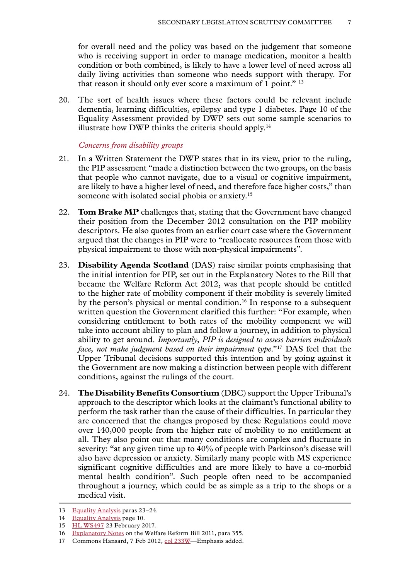for overall need and the policy was based on the judgement that someone who is receiving support in order to manage medication, monitor a health condition or both combined, is likely to have a lower level of need across all daily living activities than someone who needs support with therapy. For that reason it should only ever score a maximum of 1 point." 13

20. The sort of health issues where these factors could be relevant include dementia, learning difficulties, epilepsy and type 1 diabetes. Page 10 of the Equality Assessment provided by DWP sets out some sample scenarios to illustrate how DWP thinks the criteria should apply.<sup>14</sup>

#### *Concerns from disability groups*

- 21. In a Written Statement the DWP states that in its view, prior to the ruling, the PIP assessment "made a distinction between the two groups, on the basis that people who cannot navigate, due to a visual or cognitive impairment, are likely to have a higher level of need, and therefore face higher costs," than someone with isolated social phobia or anxiety.<sup>15</sup>
- 22. **Tom Brake MP** challenges that, stating that the Government have changed their position from the December 2012 consultation on the PIP mobility descriptors. He also quotes from an earlier court case where the Government argued that the changes in PIP were to "reallocate resources from those with physical impairment to those with non-physical impairments".
- 23. **Disability Agenda Scotland** (DAS) raise similar points emphasising that the initial intention for PIP, set out in the Explanatory Notes to the Bill that became the Welfare Reform Act 2012, was that people should be entitled to the higher rate of mobility component if their mobility is severely limited by the person's physical or mental condition.<sup>16</sup> In response to a subsequent written question the Government clarified this further: "For example*,* when considering entitlement to both rates of the mobility component we will take into account ability to plan and follow a journey, in addition to physical ability to get around. *Importantly, PIP is designed to assess barriers individuals face, not make judgment based on their impairment type.*"<sup>17</sup> DAS feel that the Upper Tribunal decisions supported this intention and by going against it the Government are now making a distinction between people with different conditions, against the rulings of the court.
- 24. **The Disability Benefits Consortium** (DBC) support the Upper Tribunal's approach to the descriptor which looks at the claimant's functional ability to perform the task rather than the cause of their difficulties. In particular they are concerned that the changes proposed by these Regulations could move over 140,000 people from the higher rate of mobility to no entitlement at all. They also point out that many conditions are complex and fluctuate in severity: "at any given time up to 40% of people with Parkinson's disease will also have depression or anxiety. Similarly many people with MS experience significant cognitive difficulties and are more likely to have a co-morbid mental health condition". Such people often need to be accompanied throughout a journey, which could be as simple as a trip to the shops or a medical visit.

<sup>13</sup> [Equality Analysis](http://www.legislation.gov.uk/uksi/2017/194/pdfs/uksiod_20170194_en.pdf) paras 23–24.

<sup>14</sup> [Equality Analysis](http://www.legislation.gov.uk/uksi/2017/194/pdfs/uksiod_20170194_en.pdf) page 10.

<sup>15</sup> [HL WS497](http://www.parliament.uk/business/publications/written-questions-answers-statements/written-statement/Lords/2017-02-23/HLWS497/) 23 February 2017.

<sup>16</sup> [Explanatory Notes](https://www.publications.parliament.uk/pa/bills/lbill/2010-2012/0075/en/12075en.htm) on the Welfare Reform Bill 2011, para 355.

<sup>17</sup> Commons Hansard, 7 Feb 2012, col 233W-Emphasis added.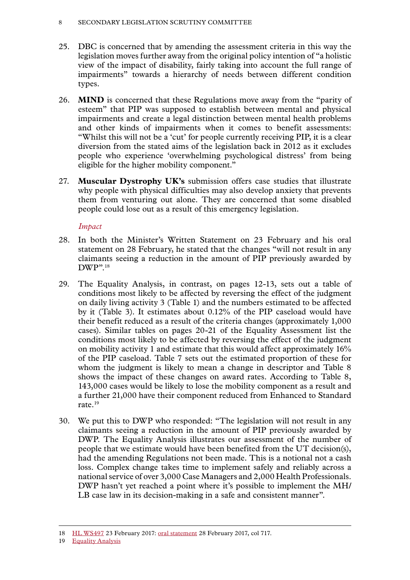#### 8 SECONDARY LEGISLATION SCRUTINY COMMITTEE

- 25. DBC is concerned that by amending the assessment criteria in this way the legislation moves further away from the original policy intention of "a holistic view of the impact of disability, fairly taking into account the full range of impairments" towards a hierarchy of needs between different condition types.
- 26. **MIND** is concerned that these Regulations move away from the "parity of esteem" that PIP was supposed to establish between mental and physical impairments and create a legal distinction between mental health problems and other kinds of impairments when it comes to benefit assessments: "Whilst this will not be a 'cut' for people currently receiving PIP, it is a clear diversion from the stated aims of the legislation back in 2012 as it excludes people who experience 'overwhelming psychological distress' from being eligible for the higher mobility component."
- 27. **Muscular Dystrophy UK's** submission offers case studies that illustrate why people with physical difficulties may also develop anxiety that prevents them from venturing out alone. They are concerned that some disabled people could lose out as a result of this emergency legislation.

## *Impact*

- 28. In both the Minister's Written Statement on 23 February and his oral statement on 28 February, he stated that the changes "will not result in any claimants seeing a reduction in the amount of PIP previously awarded by DWP".18
- 29. The Equality Analysis, in contrast, on pages 12-13, sets out a table of conditions most likely to be affected by reversing the effect of the judgment on daily living activity 3 (Table 1) and the numbers estimated to be affected by it (Table 3). It estimates about 0.12% of the PIP caseload would have their benefit reduced as a result of the criteria changes (approximately 1,000 cases). Similar tables on pages 20-21 of the Equality Assessment list the conditions most likely to be affected by reversing the effect of the judgment on mobility activity 1 and estimate that this would affect approximately 16% of the PIP caseload. Table 7 sets out the estimated proportion of these for whom the judgment is likely to mean a change in descriptor and Table 8 shows the impact of these changes on award rates. According to Table 8, 143,000 cases would be likely to lose the mobility component as a result and a further 21,000 have their component reduced from Enhanced to Standard rate.19
- 30. We put this to DWP who responded: "The legislation will not result in any claimants seeing a reduction in the amount of PIP previously awarded by DWP. The Equality Analysis illustrates our assessment of the number of people that we estimate would have been benefited from the UT decision(s), had the amending Regulations not been made. This is a notional not a cash loss. Complex change takes time to implement safely and reliably across a national service of over 3,000 Case Managers and 2,000 Health Professionals. DWP hasn't yet reached a point where it's possible to implement the MH/ LB case law in its decision-making in a safe and consistent manner".

<sup>18</sup> [HL WS497](http://www.parliament.uk/business/publications/written-questions-answers-statements/written-statement/Lords/2017-02-23/HLWS497/) 23 February 2017: [oral statement](https://hansard.parliament.uk/lords/2017-02-28/debates/430DF5C8-A8A4-4EDB-BF40-E59EB7E9A0AC/PersonalIndependencePayments) 28 February 2017, col 717.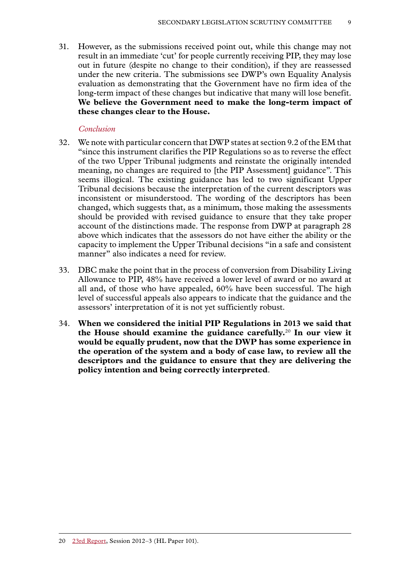31. However, as the submissions received point out, while this change may not result in an immediate 'cut' for people currently receiving PIP, they may lose out in future (despite no change to their condition), if they are reassessed under the new criteria. The submissions see DWP's own Equality Analysis evaluation as demonstrating that the Government have no firm idea of the long-term impact of these changes but indicative that many will lose benefit. **We believe the Government need to make the long-term impact of these changes clear to the House.**

#### *Conclusion*

- 32. We note with particular concern that DWP states at section 9.2 of the EM that "since this instrument clarifies the PIP Regulations so as to reverse the effect of the two Upper Tribunal judgments and reinstate the originally intended meaning, no changes are required to [the PIP Assessment] guidance". This seems illogical. The existing guidance has led to two significant Upper Tribunal decisions because the interpretation of the current descriptors was inconsistent or misunderstood. The wording of the descriptors has been changed, which suggests that, as a minimum, those making the assessments should be provided with revised guidance to ensure that they take proper account of the distinctions made. The response from DWP at paragraph 28 above which indicates that the assessors do not have either the ability or the capacity to implement the Upper Tribunal decisions "in a safe and consistent manner" also indicates a need for review.
- 33. DBC make the point that in the process of conversion from Disability Living Allowance to PIP, 48% have received a lower level of award or no award at all and, of those who have appealed, 60% have been successful. The high level of successful appeals also appears to indicate that the guidance and the assessors' interpretation of it is not yet sufficiently robust.
- 34. **When we considered the initial PIP Regulations in 2013 we said that the House should examine the guidance carefully.**<sup>20</sup> **In our view it would be equally prudent, now that the DWP has some experience in the operation of the system and a body of case law, to review all the descriptors and the guidance to ensure that they are delivering the policy intention and being correctly interpreted**.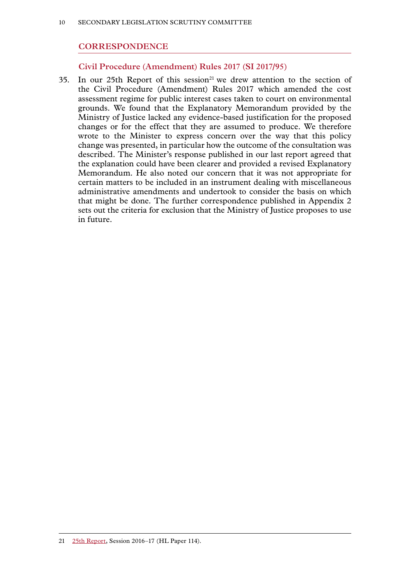## **CORRESPONDENCE**

#### **Civil Procedure (Amendment) Rules 2017 (SI 2017/95)**

35. In our 25th Report of this session<sup>21</sup> we drew attention to the section of the Civil Procedure (Amendment) Rules 2017 which amended the cost assessment regime for public interest cases taken to court on environmental grounds. We found that the Explanatory Memorandum provided by the Ministry of Justice lacked any evidence-based justification for the proposed changes or for the effect that they are assumed to produce. We therefore wrote to the Minister to express concern over the way that this policy change was presented, in particular how the outcome of the consultation was described. The Minister's response published in our last report agreed that the explanation could have been clearer and provided a revised Explanatory Memorandum. He also noted our concern that it was not appropriate for certain matters to be included in an instrument dealing with miscellaneous administrative amendments and undertook to consider the basis on which that might be done. The further correspondence published in Appendix 2 sets out the criteria for exclusion that the Ministry of Justice proposes to use in future.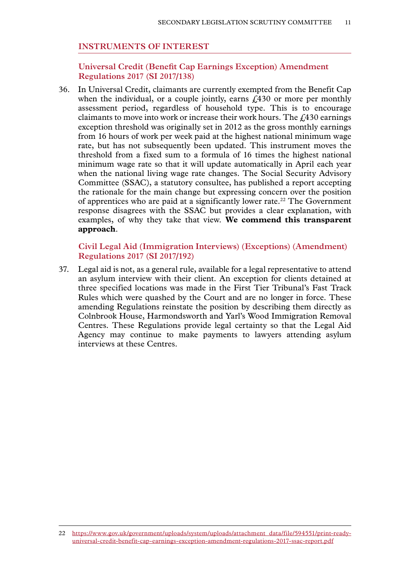#### **INSTRUMENTS OF INTEREST**

**Universal Credit (Benefit Cap Earnings Exception) Amendment Regulations 2017 (SI 2017/138)**

36. In Universal Credit, claimants are currently exempted from the Benefit Cap when the individual, or a couple jointly, earns  $\hat{\ell}$  430 or more per monthly assessment period, regardless of household type. This is to encourage claimants to move into work or increase their work hours. The  $f<sub>430</sub>$  earnings exception threshold was originally set in 2012 as the gross monthly earnings from 16 hours of work per week paid at the highest national minimum wage rate, but has not subsequently been updated. This instrument moves the threshold from a fixed sum to a formula of 16 times the highest national minimum wage rate so that it will update automatically in April each year when the national living wage rate changes. The Social Security Advisory Committee (SSAC), a statutory consultee, has published a report accepting the rationale for the main change but expressing concern over the position of apprentices who are paid at a significantly lower rate.<sup>22</sup> The Government response disagrees with the SSAC but provides a clear explanation, with examples, of why they take that view. **We commend this transparent approach**.

#### **Civil Legal Aid (Immigration Interviews) (Exceptions) (Amendment) Regulations 2017 (SI 2017/192)**

37. Legal aid is not, as a general rule, available for a legal representative to attend an asylum interview with their client. An exception for clients detained at three specified locations was made in the First Tier Tribunal's Fast Track Rules which were quashed by the Court and are no longer in force. These amending Regulations reinstate the position by describing them directly as Colnbrook House, Harmondsworth and Yarl's Wood Immigration Removal Centres. These Regulations provide legal certainty so that the Legal Aid Agency may continue to make payments to lawyers attending asylum interviews at these Centres.

<sup>22</sup> [https://www.gov.uk/government/uploads/system/uploads/attachment\\_data/file/594551/print-ready](https://www.gov.uk/government/uploads/system/uploads/attachment_data/file/594551/print-ready-universal-credit-benefit-cap-earnings-exception-amendment-regulations-2017-ssac-report.pdf)[universal-credit-benefit-cap-earnings-exception-amendment-regulations-2017-ssac-report.pdf](https://www.gov.uk/government/uploads/system/uploads/attachment_data/file/594551/print-ready-universal-credit-benefit-cap-earnings-exception-amendment-regulations-2017-ssac-report.pdf)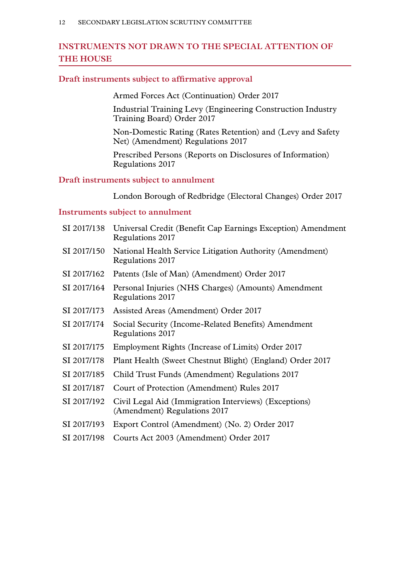## **INSTRUMENTS NOT DRAWN TO THE SPECIAL ATTENTION OF THE HOUSE**

#### **Draft instruments subject to affirmative approval**

Armed Forces Act (Continuation) Order 2017

Industrial Training Levy (Engineering Construction Industry Training Board) Order 2017

Non-Domestic Rating (Rates Retention) and (Levy and Safety Net) (Amendment) Regulations 2017

Prescribed Persons (Reports on Disclosures of Information) Regulations 2017

## **Draft instruments subject to annulment**

London Borough of Redbridge (Electoral Changes) Order 2017

#### **Instruments subject to annulment**

| SI 2017/138 | Universal Credit (Benefit Cap Earnings Exception) Amendment<br>Regulations 2017       |  |
|-------------|---------------------------------------------------------------------------------------|--|
| SI 2017/150 | National Health Service Litigation Authority (Amendment)<br>Regulations 2017          |  |
| SI 2017/162 | Patents (Isle of Man) (Amendment) Order 2017                                          |  |
| SI 2017/164 | Personal Injuries (NHS Charges) (Amounts) Amendment<br>Regulations 2017               |  |
| SI 2017/173 | Assisted Areas (Amendment) Order 2017                                                 |  |
| SI 2017/174 | Social Security (Income-Related Benefits) Amendment<br>Regulations 2017               |  |
| SI 2017/175 | Employment Rights (Increase of Limits) Order 2017                                     |  |
| SI 2017/178 | Plant Health (Sweet Chestnut Blight) (England) Order 2017                             |  |
| SI 2017/185 | Child Trust Funds (Amendment) Regulations 2017                                        |  |
| SI 2017/187 | Court of Protection (Amendment) Rules 2017                                            |  |
| SI 2017/192 | Civil Legal Aid (Immigration Interviews) (Exceptions)<br>(Amendment) Regulations 2017 |  |
| SI 2017/193 | Export Control (Amendment) (No. 2) Order 2017                                         |  |
| SI 2017/198 | Courts Act 2003 (Amendment) Order 2017                                                |  |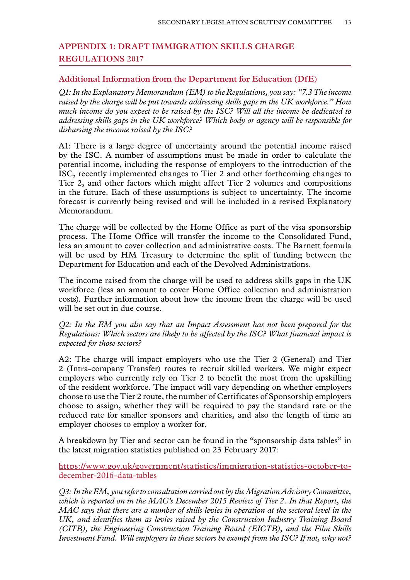## **Appendix 1: DRAFT IMMIGRATION SKILLS CHARGE REGULATIONS 2017**

### **Additional Information from the Department for Education (DfE)**

*Q1: In the Explanatory Memorandum (EM) to the Regulations, you say: "7.3 The income raised by the charge will be put towards addressing skills gaps in the UK workforce." How much income do you expect to be raised by the ISC? Will all the income be dedicated to addressing skills gaps in the UK workforce? Which body or agency will be responsible for disbursing the income raised by the ISC?*

A1: There is a large degree of uncertainty around the potential income raised by the ISC. A number of assumptions must be made in order to calculate the potential income, including the response of employers to the introduction of the ISC, recently implemented changes to Tier 2 and other forthcoming changes to Tier 2, and other factors which might affect Tier 2 volumes and compositions in the future. Each of these assumptions is subject to uncertainty. The income forecast is currently being revised and will be included in a revised Explanatory Memorandum.

The charge will be collected by the Home Office as part of the visa sponsorship process. The Home Office will transfer the income to the Consolidated Fund, less an amount to cover collection and administrative costs. The Barnett formula will be used by HM Treasury to determine the split of funding between the Department for Education and each of the Devolved Administrations.

The income raised from the charge will be used to address skills gaps in the UK workforce (less an amount to cover Home Office collection and administration costs). Further information about how the income from the charge will be used will be set out in due course.

*Q2: In the EM you also say that an Impact Assessment has not been prepared for the Regulations: Which sectors are likely to be affected by the ISC? What financial impact is expected for those sectors?*

A2: The charge will impact employers who use the Tier 2 (General) and Tier 2 (Intra-company Transfer) routes to recruit skilled workers. We might expect employers who currently rely on Tier 2 to benefit the most from the upskilling of the resident workforce. The impact will vary depending on whether employers choose to use the Tier 2 route, the number of Certificates of Sponsorship employers choose to assign, whether they will be required to pay the standard rate or the reduced rate for smaller sponsors and charities, and also the length of time an employer chooses to employ a worker for.

A breakdown by Tier and sector can be found in the "sponsorship data tables" in the latest migration statistics published on 23 February 2017:

[https://www.gov.uk/government/statistics/immigration-statistics-october-to](https://www.gov.uk/government/statistics/immigration-statistics-october-to-december-2016-data-tables)[december-2016-data-tables](https://www.gov.uk/government/statistics/immigration-statistics-october-to-december-2016-data-tables)

*Q3: In the EM, you refer to consultation carried out by the Migration Advisory Committee, which is reported on in the MAC's December 2015 Review of Tier 2. In that Report, the MAC says that there are a number of skills levies in operation at the sectoral level in the UK, and identifies them as levies raised by the Construction Industry Training Board (CITB), the Engineering Construction Training Board (EICTB), and the Film Skills Investment Fund. Will employers in these sectors be exempt from the ISC? If not, why not?*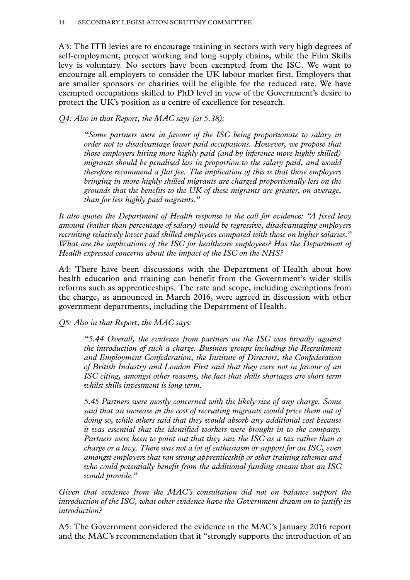A3: The ITB levies are to encourage training in sectors with very high degrees of self-employment, project working and long supply chains, while the Film Skills levy is voluntary. No sectors have been exempted from the ISC. We want to encourage all employers to consider the UK labour market first. Employers that are smaller sponsors or charities will be eligible for the reduced rate. We have exempted occupations skilled to PhD level in view of the Government's desire to protect the UK's position as a centre of excellence for research.

*Q4: Also in that Report, the MAC says (at 5.38):*

*"Some partners were in favour of the ISC being proportionate to salary in order not to disadvantage lower paid occupations. However, we propose that those employers hiring more highly paid (and by inference more highly skilled) migrants should be penalised less in proportion to the salary paid, and would therefore recommend a flat fee. The implication of this is that those employers bringing in more highly skilled migrants are charged proportionally less on the grounds that the benefits to the UK of these migrants are greater, on average, than for less highly paid migrants."*

*It also quotes the Department of Health response to the call for evidence: "A fixed levy amount (rather than percentage of salary) would be regressive, disadvantaging employers recruiting relatively lower paid skilled employees compared with those on higher salaries." What are the implications of the ISC for healthcare employees? Has the Department of Health expressed concerns about the impact of the ISC on the NHS?*

A4: There have been discussions with the Department of Health about how health education and training can benefit from the Government's wider skills reforms such as apprenticeships. The rate and scope, including exemptions from the charge, as announced in March 2016, were agreed in discussion with other government departments, including the Department of Health.

*Q5: Also in that Report, the MAC says:*

*"5.44 Overall, the evidence from partners on the ISC was broadly against the introduction of such a charge. Business groups including the Recruitment and Employment Confederation, the Institute of Directors, the Confederation of British Industry and London First said that they were not in favour of an ISC citing, amongst other reasons, the fact that skills shortages are short term whilst skills investment is long term.*

*5.45 Partners were mostly concerned with the likely size of any charge. Some said that an increase in the cost of recruiting migrants would price them out of doing so, while others said that they would absorb any additional cost because it was essential that the identified workers were brought in to the company. Partners were keen to point out that they saw the ISC as a tax rather than a charge or a levy. There was not a lot of enthusiasm or support for an ISC, even amongst employers that ran strong apprenticeship or other training schemes and who could potentially benefit from the additional funding stream that an ISC would provide."*

*Given that evidence from the MAC's consultation did not on balance support the introduction of the ISC, what other evidence have the Government drawn on to justify its introduction?*

A5: The Government considered the evidence in the MAC's January 2016 report and the MAC's recommendation that it "strongly supports the introduction of an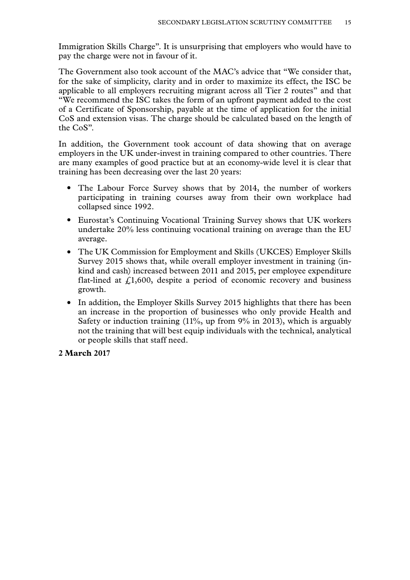Immigration Skills Charge". It is unsurprising that employers who would have to pay the charge were not in favour of it.

The Government also took account of the MAC's advice that "We consider that, for the sake of simplicity, clarity and in order to maximize its effect, the ISC be applicable to all employers recruiting migrant across all Tier 2 routes" and that "We recommend the ISC takes the form of an upfront payment added to the cost of a Certificate of Sponsorship, payable at the time of application for the initial CoS and extension visas. The charge should be calculated based on the length of the CoS".

In addition, the Government took account of data showing that on average employers in the UK under-invest in training compared to other countries. There are many examples of good practice but at an economy-wide level it is clear that training has been decreasing over the last 20 years:

- The Labour Force Survey shows that by 2014, the number of workers participating in training courses away from their own workplace had collapsed since 1992.
- Eurostat's Continuing Vocational Training Survey shows that UK workers undertake 20% less continuing vocational training on average than the EU average.
- The UK Commission for Employment and Skills (UKCES) Employer Skills Survey 2015 shows that, while overall employer investment in training (inkind and cash) increased between 2011 and 2015, per employee expenditure flat-lined at  $f<sub>1</sub>1,600$ , despite a period of economic recovery and business growth.
- In addition, the Employer Skills Survey 2015 highlights that there has been an increase in the proportion of businesses who only provide Health and Safety or induction training  $(11\%$ , up from  $9\%$  in 2013), which is arguably not the training that will best equip individuals with the technical, analytical or people skills that staff need.

### **2 March 2017**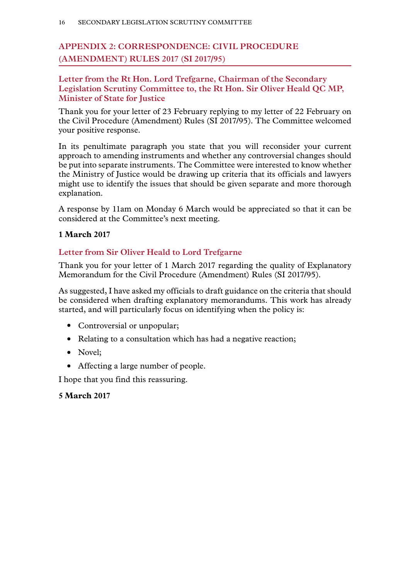# **Appendix 2: CORRESPONDENCE: CIVIL PROCEDURE (AMENDMENT) RULES 2017 (SI 2017/95)**

## **Letter from the Rt Hon. Lord Trefgarne, Chairman of the Secondary Legislation Scrutiny Committee to, the Rt Hon. Sir Oliver Heald QC MP, Minister of State for Justice**

Thank you for your letter of 23 February replying to my letter of 22 February on the Civil Procedure (Amendment) Rules (SI 2017/95). The Committee welcomed your positive response.

In its penultimate paragraph you state that you will reconsider your current approach to amending instruments and whether any controversial changes should be put into separate instruments. The Committee were interested to know whether the Ministry of Justice would be drawing up criteria that its officials and lawyers might use to identify the issues that should be given separate and more thorough explanation.

A response by 11am on Monday 6 March would be appreciated so that it can be considered at the Committee's next meeting.

## **1 March 2017**

## **Letter from Sir Oliver Heald to Lord Trefgarne**

Thank you for your letter of 1 March 2017 regarding the quality of Explanatory Memorandum for the Civil Procedure (Amendment) Rules (SI 2017/95).

As suggested, I have asked my officials to draft guidance on the criteria that should be considered when drafting explanatory memorandums. This work has already started, and will particularly focus on identifying when the policy is:

- Controversial or unpopular;
- Relating to a consultation which has had a negative reaction;
- Novel;
- Affecting a large number of people.

I hope that you find this reassuring.

### **5 March 2017**